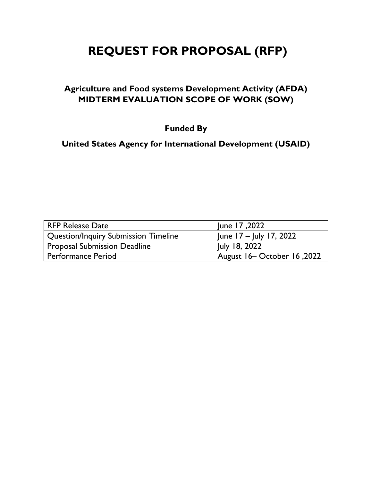# **REQUEST FOR PROPOSAL (RFP)**

## **Agriculture and Food systems Development Activity (AFDA) MIDTERM EVALUATION SCOPE OF WORK (SOW)**

**Funded By**

**United States Agency for International Development (USAID)**

| <b>RFP Release Date</b>                     | June 17,2022                 |
|---------------------------------------------|------------------------------|
| <b>Question/Inquiry Submission Timeline</b> | June $17 -$ July 17, 2022    |
| <b>Proposal Submission Deadline</b>         | July 18, 2022                |
| <b>Performance Period</b>                   | August 16 - October 16, 2022 |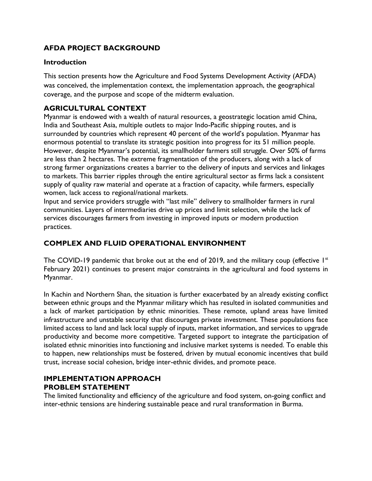## **AFDA PROJECT BACKGROUND**

#### **Introduction**

This section presents how the Agriculture and Food Systems Development Activity (AFDA) was conceived, the implementation context, the implementation approach, the geographical coverage, and the purpose and scope of the midterm evaluation.

## **AGRICULTURAL CONTEXT**

Myanmar is endowed with a wealth of natural resources, a geostrategic location amid China, India and Southeast Asia, multiple outlets to major Indo-Pacific shipping routes, and is surrounded by countries which represent 40 percent of the world's population. Myanmar has enormous potential to translate its strategic position into progress for its 51 million people. However, despite Myanmar's potential, its smallholder farmers still struggle. Over 50% of farms are less than 2 hectares. The extreme fragmentation of the producers, along with a lack of strong farmer organizations creates a barrier to the delivery of inputs and services and linkages to markets. This barrier ripples through the entire agricultural sector as firms lack a consistent supply of quality raw material and operate at a fraction of capacity, while farmers, especially women, lack access to regional/national markets.

Input and service providers struggle with "last mile" delivery to smallholder farmers in rural communities. Layers of intermediaries drive up prices and limit selection, while the lack of services discourages farmers from investing in improved inputs or modern production practices.

## **COMPLEX AND FLUID OPERATIONAL ENVIRONMENT**

The COVID-19 pandemic that broke out at the end of 2019, and the military coup (effective  $1<sup>st</sup>$ February 2021) continues to present major constraints in the agricultural and food systems in Myanmar.

In Kachin and Northern Shan, the situation is further exacerbated by an already existing conflict between ethnic groups and the Myanmar military which has resulted in isolated communities and a lack of market participation by ethnic minorities. These remote, upland areas have limited infrastructure and unstable security that discourages private investment. These populations face limited access to land and lack local supply of inputs, market information, and services to upgrade productivity and become more competitive. Targeted support to integrate the participation of isolated ethnic minorities into functioning and inclusive market systems is needed. To enable this to happen, new relationships must be fostered, driven by mutual economic incentives that build trust, increase social cohesion, bridge inter-ethnic divides, and promote peace.

## **IMPLEMENTATION APPROACH PROBLEM STATEMENT**

The limited functionality and efficiency of the agriculture and food system, on-going conflict and inter-ethnic tensions are hindering sustainable peace and rural transformation in Burma.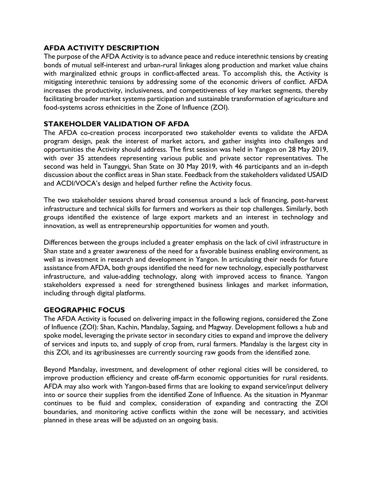## **AFDA ACTIVITY DESCRIPTION**

The purpose of the AFDA Activity is to advance peace and reduce interethnic tensions by creating bonds of mutual self-interest and urban-rural linkages along production and market value chains with marginalized ethnic groups in conflict-affected areas. To accomplish this, the Activity is mitigating interethnic tensions by addressing some of the economic drivers of conflict. AFDA increases the productivity, inclusiveness, and competitiveness of key market segments, thereby facilitating broader market systems participation and sustainable transformation of agriculture and food-systems across ethnicities in the Zone of Influence (ZOI).

## **STAKEHOLDER VALIDATION OF AFDA**

The AFDA co-creation process incorporated two stakeholder events to validate the AFDA program design, peak the interest of market actors, and gather insights into challenges and opportunities the Activity should address. The first session was held in Yangon on 28 May 2019, with over 35 attendees representing various public and private sector representatives. The second was held in Taunggyi, Shan State on 30 May 2019, with 46 participants and an in-depth discussion about the conflict areas in Shan state. Feedback from the stakeholders validated USAID and ACDI/VOCA's design and helped further refine the Activity focus.

The two stakeholder sessions shared broad consensus around a lack of financing, post-harvest infrastructure and technical skills for farmers and workers as their top challenges. Similarly, both groups identified the existence of large export markets and an interest in technology and innovation, as well as entrepreneurship opportunities for women and youth.

Differences between the groups included a greater emphasis on the lack of civil infrastructure in Shan state and a greater awareness of the need for a favorable business enabling environment, as well as investment in research and development in Yangon. In articulating their needs for future assistance from AFDA, both groups identified the need for new technology, especially postharvest infrastructure, and value-adding technology, along with improved access to finance. Yangon stakeholders expressed a need for strengthened business linkages and market information, including through digital platforms.

#### **GEOGRAPHIC FOCUS**

The AFDA Activity is focused on delivering impact in the following regions, considered the Zone of Influence (ZOI): Shan, Kachin, Mandalay, Sagaing, and Magway. Development follows a hub and spoke model, leveraging the private sector in secondary cities to expand and improve the delivery of services and inputs to, and supply of crop from, rural farmers. Mandalay is the largest city in this ZOI, and its agribusinesses are currently sourcing raw goods from the identified zone.

Beyond Mandalay, investment, and development of other regional cities will be considered, to improve production efficiency and create off-farm economic opportunities for rural residents. AFDA may also work with Yangon-based firms that are looking to expand service/input delivery into or source their supplies from the identified Zone of Influence. As the situation in Myanmar continues to be fluid and complex, consideration of expanding and contracting the ZOI boundaries, and monitoring active conflicts within the zone will be necessary, and activities planned in these areas will be adjusted on an ongoing basis.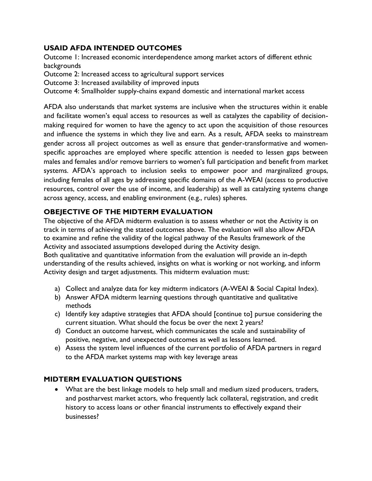## **USAID AFDA INTENDED OUTCOMES**

Outcome 1: Increased economic interdependence among market actors of different ethnic backgrounds

Outcome 2: Increased access to agricultural support services

Outcome 3: Increased availability of improved inputs

Outcome 4: Smallholder supply-chains expand domestic and international market access

AFDA also understands that market systems are inclusive when the structures within it enable and facilitate women's equal access to resources as well as catalyzes the capability of decisionmaking required for women to have the agency to act upon the acquisition of those resources and influence the systems in which they live and earn. As a result, AFDA seeks to mainstream gender across all project outcomes as well as ensure that gender-transformative and womenspecific approaches are employed where specific attention is needed to lessen gaps between males and females and/or remove barriers to women's full participation and benefit from market systems. AFDA's approach to inclusion seeks to empower poor and marginalized groups, including females of all ages by addressing specific domains of the A-WEAI (access to productive resources, control over the use of income, and leadership) as well as catalyzing systems change across agency, access, and enabling environment (e.g., rules) spheres.

## **OBEJECTIVE OF THE MIDTERM EVALUATION**

The objective of the AFDA midterm evaluation is to assess whether or not the Activity is on track in terms of achieving the stated outcomes above. The evaluation will also allow AFDA to examine and refine the validity of the logical pathway of the Results framework of the Activity and associated assumptions developed during the Activity design.

Both qualitative and quantitative information from the evaluation will provide an in-depth understanding of the results achieved, insights on what is working or not working, and inform Activity design and target adjustments. This midterm evaluation must:

- a) Collect and analyze data for key midterm indicators (A-WEAI & Social Capital Index).
- b) Answer AFDA midterm learning questions through quantitative and qualitative methods
- c) Identify key adaptive strategies that AFDA should [continue to] pursue considering the current situation. What should the focus be over the next 2 years?
- d) Conduct an outcome harvest, which communicates the scale and sustainability of positive, negative, and unexpected outcomes as well as lessons learned.
- e) Assess the system level influences of the current portfolio of AFDA partners in regard to the AFDA market systems map with key leverage areas

## **MIDTERM EVALUATION QUESTIONS**

• What are the best linkage models to help small and medium sized producers, traders, and postharvest market actors, who frequently lack collateral, registration, and credit history to access loans or other financial instruments to effectively expand their businesses?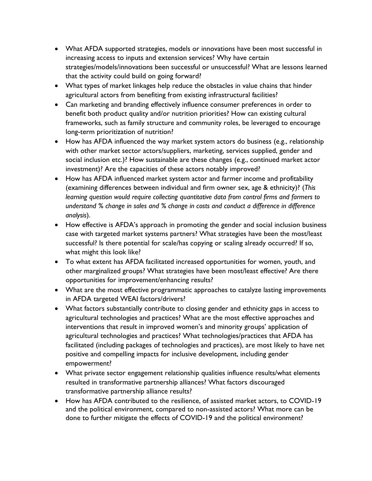- What AFDA supported strategies, models or innovations have been most successful in increasing access to inputs and extension services? Why have certain strategies/models/innovations been successful or unsuccessful? What are lessons learned that the activity could build on going forward?
- What types of market linkages help reduce the obstacles in value chains that hinder agricultural actors from benefiting from existing infrastructural facilities?
- Can marketing and branding effectively influence consumer preferences in order to benefit both product quality and/or nutrition priorities? How can existing cultural frameworks, such as family structure and community roles, be leveraged to encourage long-term prioritization of nutrition?
- How has AFDA influenced the way market system actors do business (e.g., relationship with other market sector actors/suppliers, marketing, services supplied, gender and social inclusion etc.)? How sustainable are these changes (e.g., continued market actor investment)? Are the capacities of these actors notably improved?
- How has AFDA influenced market system actor and farmer income and profitability (examining differences between individual and firm owner sex, age & ethnicity)? (*This learning question would require collecting quantitative data from control firms and farmers to understand % change in sales and % change in costs and conduct a difference in difference analysis*).
- How effective is AFDA's approach in promoting the gender and social inclusion business case with targeted market systems partners? What strategies have been the most/least successful? Is there potential for scale/has copying or scaling already occurred? If so, what might this look like?
- To what extent has AFDA facilitated increased opportunities for women, youth, and other marginalized groups? What strategies have been most/least effective? Are there opportunities for improvement/enhancing results?
- What are the most effective programmatic approaches to catalyze lasting improvements in AFDA targeted WEAI factors/drivers?
- What factors substantially contribute to closing gender and ethnicity gaps in access to agricultural technologies and practices? What are the most effective approaches and interventions that result in improved women's and minority groups' application of agricultural technologies and practices? What technologies/practices that AFDA has facilitated (including packages of technologies and practices), are most likely to have net positive and compelling impacts for inclusive development, including gender empowerment?
- What private sector engagement relationship qualities influence results/what elements resulted in transformative partnership alliances? What factors discouraged transformative partnership alliance results?
- How has AFDA contributed to the resilience, of assisted market actors, to COVID-19 and the political environment, compared to non-assisted actors? What more can be done to further mitigate the effects of COVID-19 and the political environment?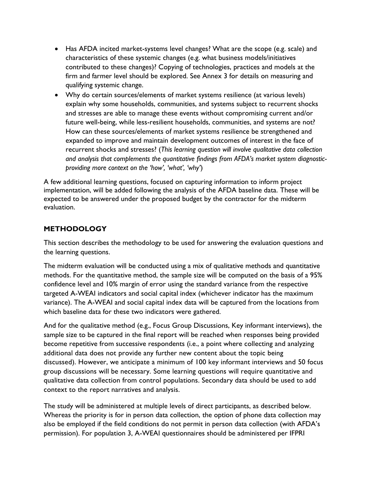- Has AFDA incited market-systems level changes? What are the scope (e.g. scale) and characteristics of these systemic changes (e.g. what business models/initiatives contributed to these changes)? Copying of technologies, practices and models at the firm and farmer level should be explored. See Annex 3 for details on measuring and qualifying systemic change.
- Why do certain sources/elements of market systems resilience (at various levels) explain why some households, communities, and systems subject to recurrent shocks and stresses are able to manage these events without compromising current and/or future well-being, while less-resilient households, communities, and systems are not? How can these sources/elements of market systems resilience be strengthened and expanded to improve and maintain development outcomes of interest in the face of recurrent shocks and stresses? (*This learning question will involve qualitative data collection and analysis that complements the quantitative findings from AFDA's market system diagnosticproviding more context on the 'how', 'what', 'why'*)

A few additional learning questions, focused on capturing information to inform project implementation, will be added following the analysis of the AFDA baseline data. These will be expected to be answered under the proposed budget by the contractor for the midterm evaluation.

## **METHODOLOGY**

This section describes the methodology to be used for answering the evaluation questions and the learning questions.

The midterm evaluation will be conducted using a mix of qualitative methods and quantitative methods. For the quantitative method, the sample size will be computed on the basis of a 95% confidence level and 10% margin of error using the standard variance from the respective targeted A-WEAI indicators and social capital index (whichever indicator has the maximum variance). The A-WEAI and social capital index data will be captured from the locations from which baseline data for these two indicators were gathered.

And for the qualitative method (e.g., Focus Group Discussions, Key informant interviews), the sample size to be captured in the final report will be reached when responses being provided become repetitive from successive respondents (i.e., a point where collecting and analyzing additional data does not provide any further new content about the topic being discussed). However, we anticipate a minimum of 100 key informant interviews and 50 focus group discussions will be necessary. Some learning questions will require quantitative and qualitative data collection from control populations. Secondary data should be used to add context to the report narratives and analysis.

The study will be administered at multiple levels of direct participants, as described below. Whereas the priority is for in person data collection, the option of phone data collection may also be employed if the field conditions do not permit in person data collection (with AFDA's permission). For population 3, A-WEAI questionnaires should be administered per IFPRI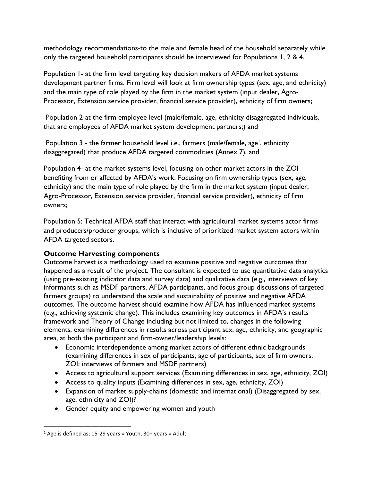methodology recommendations-to the male and female head of the household separately while only the targeted household participants should be interviewed for Populations 1, 2 & 4.

Population 1- at the firm level\_targeting key decision makers of AFDA market systems development partner firms. Firm level will look at firm ownership types (sex, age, and ethnicity) and the main type of role played by the firm in the market system (input dealer, Agro-Processor, Extension service provider, financial service provider), ethnicity of firm owners;

Population 2-at the firm employee level (male/female, age, ethnicity disaggregated individuals, that are employees of AFDA market system development partners;) and

Population 3 - the farmer household level\_i.e., farmers (male/female, age<sup>1</sup>, ethnicity disaggregated) that produce AFDA targeted commodities (Annex 7), and

Population 4- at the market systems level, focusing on other market actors in the ZOI benefiting from or affected by AFDA's work. Focusing on firm ownership types (sex, age, ethnicity) and the main type of role played by the firm in the market system (input dealer, Agro-Processor, Extension service provider, financial service provider), ethnicity of firm owners;

Population 5: Technical AFDA staff that interact with agricultural market systems actor firms and producers/producer groups, which is inclusive of prioritized market system actors within AFDA targeted sectors.

## **Outcome Harvesting components**

Outcome harvest is a methodology used to examine positive and negative outcomes that happened as a result of the project. The consultant is expected to use quantitative data analytics (using pre-existing indicator data and survey data) and qualitative data (e.g., interviews of key informants such as MSDF partners, AFDA participants, and focus group discussions of targeted farmers groups) to understand the scale and sustainability of positive and negative AFDA outcomes. The outcome harvest should examine how AFDA has influenced market systems (e.g., achieving systemic change). This includes examining key outcomes in AFDA's results framework and Theory of Change including but not limited to, changes in the following elements, examining differences in results across participant sex, age, ethnicity, and geographic area, at both the participant and firm-owner/leadership levels:

- Economic interdependence among market actors of different ethnic backgrounds (examining differences in sex of participants, age of participants, sex of firm owners, ZOI; interviews of farmers and MSDF partners)
- Access to agricultural support services (Examining differences in sex, age, ethnicity, ZOI)
- Access to quality inputs (Examining differences in sex, age, ethnicity, ZOI)
- Expansion of market supply-chains (domestic and international) (Disaggregated by sex, age, ethnicity and ZOI)?
- Gender equity and empowering women and youth

 $1$  Age is defined as; 15-29 years = Youth, 30+ years = Adult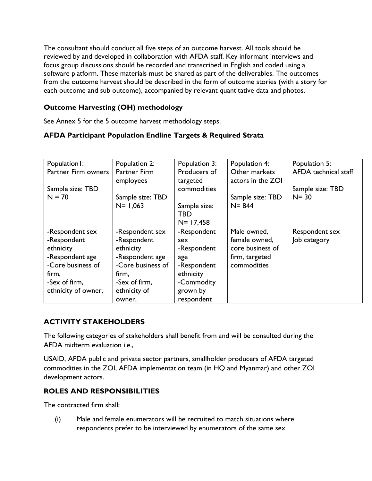The consultant should conduct all five steps of an outcome harvest. All tools should be reviewed by and developed in collaboration with AFDA staff. Key informant interviews and focus group discussions should be recorded and transcribed in English and coded using a software platform. These materials must be shared as part of the deliverables. The outcomes from the outcome harvest should be described in the form of outcome stories (with a story for each outcome and sub outcome), accompanied by relevant quantitative data and photos.

## **Outcome Harvesting (OH) methodology**

See Annex 5 for the 5 outcome harvest methodology steps.

## **AFDA Participant Population Endline Targets & Required Strata**

| Population I:       | Population 2:     | Population 3: | Population 4:     | Population 5:        |
|---------------------|-------------------|---------------|-------------------|----------------------|
| Partner Firm owners | Partner Firm      | Producers of  | Other markets     | AFDA technical staff |
|                     | employees         | targeted      | actors in the ZOI |                      |
| Sample size: TBD    |                   | commodities   |                   | Sample size: TBD     |
| $N = 70$            | Sample size: TBD  |               | Sample size: TBD  | $N = 30$             |
|                     | $N = 1,063$       | Sample size:  | $N = 844$         |                      |
|                     |                   | TBD           |                   |                      |
|                     |                   | $N = 17,458$  |                   |                      |
| -Respondent sex     | -Respondent sex   | -Respondent   | Male owned,       | Respondent sex       |
| -Respondent         | -Respondent       | sex           | female owned,     | Job category         |
| ethnicity           | ethnicity         | -Respondent   | core business of  |                      |
| -Respondent age     | -Respondent age   | age           | firm, targeted    |                      |
| -Core business of   | -Core business of | -Respondent   | commodities       |                      |
| firm,               | firm,             | ethnicity     |                   |                      |
| -Sex of firm,       | -Sex of firm,     | -Commodity    |                   |                      |
| ethnicity of owner, | ethnicity of      | grown by      |                   |                      |
|                     | owner,            | respondent    |                   |                      |

## **ACTIVITY STAKEHOLDERS**

The following categories of stakeholders shall benefit from and will be consulted during the AFDA midterm evaluation i.e.,

USAID, AFDA public and private sector partners, smallholder producers of AFDA targeted commodities in the ZOI, AFDA implementation team (in HQ and Myanmar) and other ZOI development actors.

## **ROLES AND RESPONSIBILITIES**

The contracted firm shall;

(i) Male and female enumerators will be recruited to match situations where respondents prefer to be interviewed by enumerators of the same sex.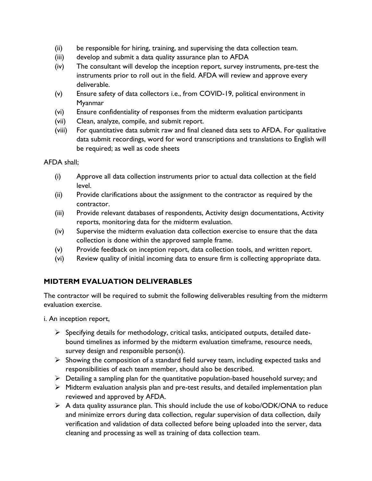- (ii) be responsible for hiring, training, and supervising the data collection team.
- (iii) develop and submit a data quality assurance plan to AFDA
- (iv) The consultant will develop the inception report, survey instruments, pre-test the instruments prior to roll out in the field. AFDA will review and approve every deliverable.
- (v) Ensure safety of data collectors i.e., from COVID-19, political environment in Myanmar
- (vi) Ensure confidentiality of responses from the midterm evaluation participants
- (vii) Clean, analyze, compile, and submit report.
- (viii) For quantitative data submit raw and final cleaned data sets to AFDA. For qualitative data submit recordings, word for word transcriptions and translations to English will be required; as well as code sheets

AFDA shall;

- (i) Approve all data collection instruments prior to actual data collection at the field level.
- (ii) Provide clarifications about the assignment to the contractor as required by the contractor.
- (iii) Provide relevant databases of respondents, Activity design documentations, Activity reports, monitoring data for the midterm evaluation.
- (iv) Supervise the midterm evaluation data collection exercise to ensure that the data collection is done within the approved sample frame.
- (v) Provide feedback on inception report, data collection tools, and written report.
- (vi) Review quality of initial incoming data to ensure firm is collecting appropriate data.

## **MIDTERM EVALUATION DELIVERABLES**

The contractor will be required to submit the following deliverables resulting from the midterm evaluation exercise.

i. An inception report,

- $\triangleright$  Specifying details for methodology, critical tasks, anticipated outputs, detailed datebound timelines as informed by the midterm evaluation timeframe, resource needs, survey design and responsible person(s).
- $\triangleright$  Showing the composition of a standard field survey team, including expected tasks and responsibilities of each team member, should also be described.
- $\triangleright$  Detailing a sampling plan for the quantitative population-based household survey; and
- ➢ Midterm evaluation analysis plan and pre-test results, and detailed implementation plan reviewed and approved by AFDA.
- $\triangleright$  A data quality assurance plan. This should include the use of kobo/ODK/ONA to reduce and minimize errors during data collection, regular supervision of data collection, daily verification and validation of data collected before being uploaded into the server, data cleaning and processing as well as training of data collection team.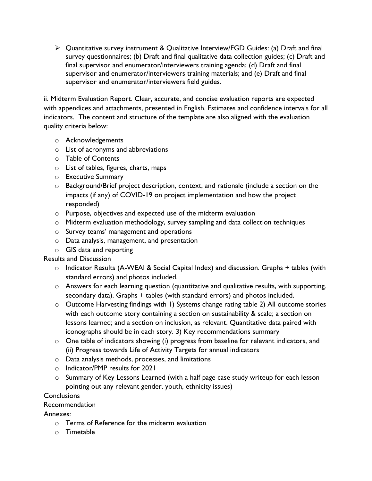$\triangleright$  Quantitative survey instrument & Qualitative Interview/FGD Guides: (a) Draft and final survey questionnaires; (b) Draft and final qualitative data collection guides; (c) Draft and final supervisor and enumerator/interviewers training agenda; (d) Draft and final supervisor and enumerator/interviewers training materials; and (e) Draft and final supervisor and enumerator/interviewers field guides.

ii. Midterm Evaluation Report. Clear, accurate, and concise evaluation reports are expected with appendices and attachments, presented in English. Estimates and confidence intervals for all indicators. The content and structure of the template are also aligned with the evaluation quality criteria below:

- o Acknowledgements
- o List of acronyms and abbreviations
- o Table of Contents
- o List of tables, figures, charts, maps
- o Executive Summary
- o Background/Brief project description, context, and rationale (include a section on the impacts (if any) of COVID-19 on project implementation and how the project responded)
- o Purpose, objectives and expected use of the midterm evaluation
- o Midterm evaluation methodology, survey sampling and data collection techniques
- o Survey teams' management and operations
- o Data analysis, management, and presentation
- o GIS data and reporting

#### Results and Discussion

- o Indicator Results (A-WEAI & Social Capital Index) and discussion. Graphs + tables (with standard errors) and photos included.
- o Answers for each learning question (quantitative and qualitative results, with supporting. secondary data). Graphs + tables (with standard errors) and photos included.
- o Outcome Harvesting findings with 1) Systems change rating table 2) All outcome stories with each outcome story containing a section on sustainability & scale; a section on lessons learned; and a section on inclusion, as relevant. Quantitative data paired with iconographs should be in each story. 3) Key recommendations summary
- $\circ$  One table of indicators showing (i) progress from baseline for relevant indicators, and (ii) Progress towards Life of Activity Targets for annual indicators
- o Data analysis methods, processes, and limitations
- o Indicator/PMP results for 2021
- o Summary of Key Lessons Learned (with a half page case study writeup for each lesson pointing out any relevant gender, youth, ethnicity issues)

#### **Conclusions**

#### Recommendation

Annexes:

- o Terms of Reference for the midterm evaluation
- o Timetable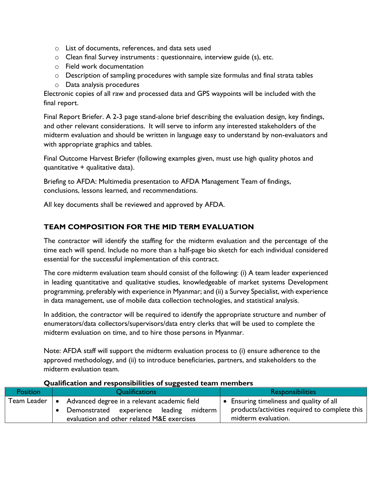- o List of documents, references, and data sets used
- o Clean final Survey instruments : questionnaire, interview guide (s), etc.
- o Field work documentation
- $\circ$  Description of sampling procedures with sample size formulas and final strata tables
- o Data analysis procedures

Electronic copies of all raw and processed data and GPS waypoints will be included with the final report.

Final Report Briefer. A 2-3 page stand-alone brief describing the evaluation design, key findings, and other relevant considerations. It will serve to inform any interested stakeholders of the midterm evaluation and should be written in language easy to understand by non-evaluators and with appropriate graphics and tables.

Final Outcome Harvest Briefer (following examples given, must use high quality photos and quantitative + qualitative data).

Briefing to AFDA: Multimedia presentation to AFDA Management Team of findings, conclusions, lessons learned, and recommendations.

All key documents shall be reviewed and approved by AFDA.

## **TEAM COMPOSITION FOR THE MID TERM EVALUATION**

The contractor will identify the staffing for the midterm evaluation and the percentage of the time each will spend. Include no more than a half-page bio sketch for each individual considered essential for the successful implementation of this contract.

The core midterm evaluation team should consist of the following: (i) A team leader experienced in leading quantitative and qualitative studies, knowledgeable of market systems Development programming, preferably with experience in Myanmar; and (ii) a Survey Specialist, with experience in data management, use of mobile data collection technologies, and statistical analysis.

In addition, the contractor will be required to identify the appropriate structure and number of enumerators/data collectors/supervisors/data entry clerks that will be used to complete the midterm evaluation on time, and to hire those persons in Myanmar.

Note: AFDA staff will support the midterm evaluation process to (i) ensure adherence to the approved methodology, and (ii) to introduce beneficiaries, partners, and stakeholders to the midterm evaluation team.

|                 |                       | -                                                                                                                                     |                         |                                                                                                                  |
|-----------------|-----------------------|---------------------------------------------------------------------------------------------------------------------------------------|-------------------------|------------------------------------------------------------------------------------------------------------------|
| <b>Position</b> | <b>Qualifications</b> |                                                                                                                                       | <b>Responsibilities</b> |                                                                                                                  |
| Team Leader     |                       | Advanced degree in a relevant academic field<br>Demonstrated experience leading midterm<br>evaluation and other related M&E exercises |                         | • Ensuring timeliness and quality of all<br>products/activities required to complete this<br>midterm evaluation. |

#### **Qualification and responsibilities of suggested team members**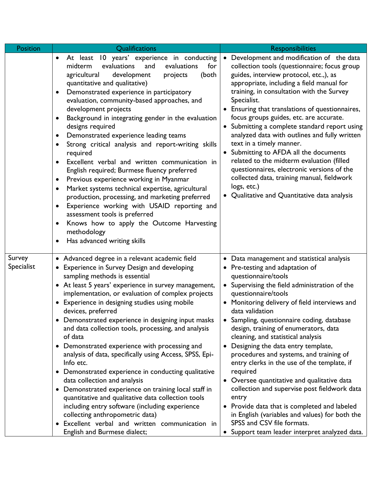| Position             | Qualifications                                                                                                                                                                                                                                                                                                                                                                                                                                                                                                                                                                                                                                                                                                                                                                                                                                                                                                                                                                                                                                                     | <b>Responsibilities</b>                                                                                                                                                                                                                                                                                                                                                                                                                                                                                                                                                                                                                                                                                                                                                                                                        |  |  |
|----------------------|--------------------------------------------------------------------------------------------------------------------------------------------------------------------------------------------------------------------------------------------------------------------------------------------------------------------------------------------------------------------------------------------------------------------------------------------------------------------------------------------------------------------------------------------------------------------------------------------------------------------------------------------------------------------------------------------------------------------------------------------------------------------------------------------------------------------------------------------------------------------------------------------------------------------------------------------------------------------------------------------------------------------------------------------------------------------|--------------------------------------------------------------------------------------------------------------------------------------------------------------------------------------------------------------------------------------------------------------------------------------------------------------------------------------------------------------------------------------------------------------------------------------------------------------------------------------------------------------------------------------------------------------------------------------------------------------------------------------------------------------------------------------------------------------------------------------------------------------------------------------------------------------------------------|--|--|
|                      | At least 10 years' experience in conducting<br>$\bullet$<br>midterm<br>evaluations<br>evaluations<br>for<br>and<br>agricultural<br>development<br>(both<br>projects<br>quantitative and qualitative)<br>Demonstrated experience in participatory<br>$\bullet$<br>evaluation, community-based approaches, and<br>development projects<br>Background in integrating gender in the evaluation<br>$\bullet$<br>designs required<br>Demonstrated experience leading teams<br>$\bullet$<br>Strong critical analysis and report-writing skills<br>٠<br>required<br>Excellent verbal and written communication in<br>$\bullet$<br>English required; Burmese fluency preferred<br>Previous experience working in Myanmar<br>$\bullet$<br>Market systems technical expertise, agricultural<br>$\bullet$<br>production, processing, and marketing preferred<br>Experience working with USAID reporting and<br>$\bullet$<br>assessment tools is preferred<br>Knows how to apply the Outcome Harvesting<br>$\bullet$<br>methodology<br>Has advanced writing skills<br>$\bullet$ | Development and modification of the data<br>$\bullet$<br>collection tools (questionnaire; focus group<br>guides, interview protocol, etc.,), as<br>appropriate, including a field manual for<br>training, in consultation with the Survey<br>Specialist.<br>• Ensuring that translations of questionnaires,<br>focus groups guides, etc. are accurate.<br>Submitting a complete standard report using<br>analyzed data with outlines and fully written<br>text in a timely manner.<br>• Submitting to AFDA all the documents<br>related to the midterm evaluation (filled<br>questionnaires, electronic versions of the<br>collected data, training manual, fieldwork<br>logs, etc.)<br>Qualitative and Quantitative data analysis                                                                                             |  |  |
| Survey<br>Specialist | • Advanced degree in a relevant academic field<br><b>Experience in Survey Design and developing</b><br>$\bullet$<br>sampling methods is essential<br>• At least 5 years' experience in survey management,<br>implementation, or evaluation of complex projects<br>Experience in designing studies using mobile<br>$\bullet$<br>devices, preferred<br>• Demonstrated experience in designing input masks<br>and data collection tools, processing, and analysis<br>of data<br>• Demonstrated experience with processing and<br>analysis of data, specifically using Access, SPSS, Epi-<br>Info etc.<br>• Demonstrated experience in conducting qualitative<br>data collection and analysis<br>• Demonstrated experience on training local staff in<br>quantitative and qualitative data collection tools<br>including entry software (including experience<br>collecting anthropometric data)<br>· Excellent verbal and written communication in<br>English and Burmese dialect;                                                                                    | • Data management and statistical analysis<br>Pre-testing and adaptation of<br>questionnaire/tools<br>• Supervising the field administration of the<br>questionnaire/tools<br>• Monitoring delivery of field interviews and<br>data validation<br>• Sampling, questionnaire coding, database<br>design, training of enumerators, data<br>cleaning, and statistical analysis<br>Designing the data entry template,<br>$\bullet$<br>procedures and systems, and training of<br>entry clerks in the use of the template, if<br>required<br>• Oversee quantitative and qualitative data<br>collection and supervise post fieldwork data<br>entry<br>• Provide data that is completed and labeled<br>in English (variables and values) for both the<br>SPSS and CSV file formats.<br>• Support team leader interpret analyzed data. |  |  |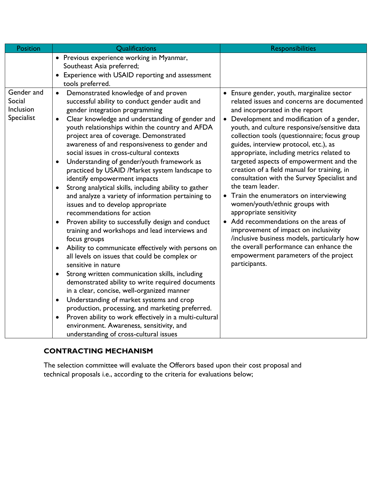| <b>Position</b>                                 | Qualifications                                                                                                                                                                                                                                                                                                                                                                                                                                                                                                                                                                                                                                                                                                                                                                                                                                                                                                                                                                                                                                                                                                                                                                                                                                                                                                                                                                                                                                           | <b>Responsibilities</b>                                                                                                                                                                                                                                                                                                                                                                                                                                                                                                                                                                                                                                                                                                                                                                                                                                                                      |  |
|-------------------------------------------------|----------------------------------------------------------------------------------------------------------------------------------------------------------------------------------------------------------------------------------------------------------------------------------------------------------------------------------------------------------------------------------------------------------------------------------------------------------------------------------------------------------------------------------------------------------------------------------------------------------------------------------------------------------------------------------------------------------------------------------------------------------------------------------------------------------------------------------------------------------------------------------------------------------------------------------------------------------------------------------------------------------------------------------------------------------------------------------------------------------------------------------------------------------------------------------------------------------------------------------------------------------------------------------------------------------------------------------------------------------------------------------------------------------------------------------------------------------|----------------------------------------------------------------------------------------------------------------------------------------------------------------------------------------------------------------------------------------------------------------------------------------------------------------------------------------------------------------------------------------------------------------------------------------------------------------------------------------------------------------------------------------------------------------------------------------------------------------------------------------------------------------------------------------------------------------------------------------------------------------------------------------------------------------------------------------------------------------------------------------------|--|
|                                                 | • Previous experience working in Myanmar,<br>Southeast Asia preferred;<br>• Experience with USAID reporting and assessment<br>tools preferred.                                                                                                                                                                                                                                                                                                                                                                                                                                                                                                                                                                                                                                                                                                                                                                                                                                                                                                                                                                                                                                                                                                                                                                                                                                                                                                           |                                                                                                                                                                                                                                                                                                                                                                                                                                                                                                                                                                                                                                                                                                                                                                                                                                                                                              |  |
| Gender and<br>Social<br>Inclusion<br>Specialist | Demonstrated knowledge of and proven<br>$\bullet$<br>successful ability to conduct gender audit and<br>gender integration programming<br>Clear knowledge and understanding of gender and<br>$\bullet$<br>youth relationships within the country and AFDA<br>project area of coverage. Demonstrated<br>awareness of and responsiveness to gender and<br>social issues in cross-cultural contexts<br>Understanding of gender/youth framework as<br>$\bullet$<br>practiced by USAID /Market system landscape to<br>identify empowerment impacts<br>Strong analytical skills, including ability to gather<br>$\bullet$<br>and analyze a variety of information pertaining to<br>issues and to develop appropriate<br>recommendations for action<br>Proven ability to successfully design and conduct<br>$\bullet$<br>training and workshops and lead interviews and<br>focus groups<br>Ability to communicate effectively with persons on<br>$\bullet$<br>all levels on issues that could be complex or<br>sensitive in nature<br>Strong written communication skills, including<br>demonstrated ability to write required documents<br>in a clear, concise, well-organized manner<br>Understanding of market systems and crop<br>$\bullet$<br>production, processing, and marketing preferred.<br>Proven ability to work effectively in a multi-cultural<br>$\bullet$<br>environment. Awareness, sensitivity, and<br>understanding of cross-cultural issues | Ensure gender, youth, marginalize sector<br>$\bullet$<br>related issues and concerns are documented<br>and incorporated in the report<br>Development and modification of a gender,<br>youth, and culture responsive/sensitive data<br>collection tools (questionnaire; focus group<br>guides, interview protocol, etc.), as<br>appropriate, including metrics related to<br>targeted aspects of empowerment and the<br>creation of a field manual for training, in<br>consultation with the Survey Specialist and<br>the team leader.<br>Train the enumerators on interviewing<br>$\bullet$<br>women/youth/ethnic groups with<br>appropriate sensitivity<br>Add recommendations on the areas of<br>improvement of impact on inclusivity<br>/inclusive business models, particularly how<br>the overall performance can enhance the<br>empowerment parameters of the project<br>participants. |  |

## **CONTRACTING MECHANISM**

The selection committee will evaluate the Offerors based upon their cost proposal and technical proposals i.e., according to the criteria for evaluations below;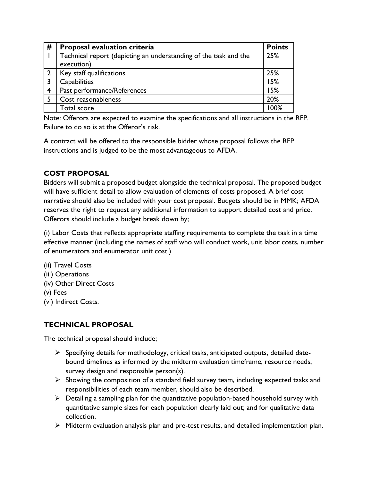| #              | <b>Proposal evaluation criteria</b>                              | <b>Points</b> |
|----------------|------------------------------------------------------------------|---------------|
|                | Technical report (depicting an understanding of the task and the | 25%           |
|                | execution)                                                       |               |
|                | Key staff qualifications                                         | 25%           |
|                | <b>Capabilities</b>                                              | 15%           |
| $\overline{4}$ | Past performance/References                                      | 15%           |
|                | Cost reasonableness                                              | 20%           |
|                | Total score                                                      | 100%          |

Note: Offerors are expected to examine the specifications and all instructions in the RFP. Failure to do so is at the Offeror's risk.

A contract will be offered to the responsible bidder whose proposal follows the RFP instructions and is judged to be the most advantageous to AFDA.

## **COST PROPOSAL**

Bidders will submit a proposed budget alongside the technical proposal. The proposed budget will have sufficient detail to allow evaluation of elements of costs proposed. A brief cost narrative should also be included with your cost proposal. Budgets should be in MMK; AFDA reserves the right to request any additional information to support detailed cost and price. Offerors should include a budget break down by;

(i) Labor Costs that reflects appropriate staffing requirements to complete the task in a time effective manner (including the names of staff who will conduct work, unit labor costs, number of enumerators and enumerator unit cost.)

- (ii) Travel Costs
- (iii) Operations
- (iv) Other Direct Costs
- (v) Fees
- (vi) Indirect Costs.

## **TECHNICAL PROPOSAL**

The technical proposal should include;

- $\triangleright$  Specifying details for methodology, critical tasks, anticipated outputs, detailed datebound timelines as informed by the midterm evaluation timeframe, resource needs, survey design and responsible person(s).
- $\triangleright$  Showing the composition of a standard field survey team, including expected tasks and responsibilities of each team member, should also be described.
- $\triangleright$  Detailing a sampling plan for the quantitative population-based household survey with quantitative sample sizes for each population clearly laid out; and for qualitative data collection.
- ➢ Midterm evaluation analysis plan and pre-test results, and detailed implementation plan.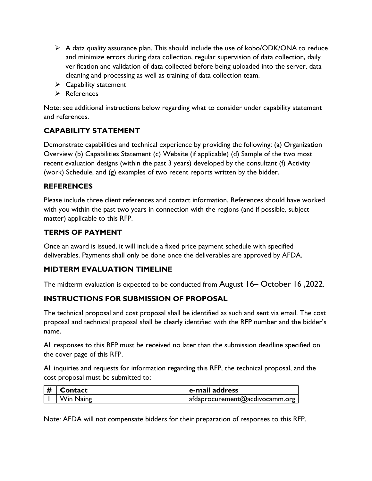- $\triangleright$  A data quality assurance plan. This should include the use of kobo/ODK/ONA to reduce and minimize errors during data collection, regular supervision of data collection, daily verification and validation of data collected before being uploaded into the server, data cleaning and processing as well as training of data collection team.
- $\triangleright$  Capability statement
- ➢ References

Note: see additional instructions below regarding what to consider under capability statement and references.

## **CAPABILITY STATEMENT**

Demonstrate capabilities and technical experience by providing the following: (a) Organization Overview (b) Capabilities Statement (c) Website (if applicable) (d) Sample of the two most recent evaluation designs (within the past 3 years) developed by the consultant (f) Activity (work) Schedule, and (g) examples of two recent reports written by the bidder.

## **REFERENCES**

Please include three client references and contact information. References should have worked with you within the past two years in connection with the regions (and if possible, subject matter) applicable to this RFP.

## **TERMS OF PAYMENT**

Once an award is issued, it will include a fixed price payment schedule with specified deliverables. Payments shall only be done once the deliverables are approved by AFDA.

## **MIDTERM EVALUATION TIMELINE**

The midterm evaluation is expected to be conducted from August 16– October 16 ,2022.

## **INSTRUCTIONS FOR SUBMISSION OF PROPOSAL**

The technical proposal and cost proposal shall be identified as such and sent via email. The cost proposal and technical proposal shall be clearly identified with the RFP number and the bidder's name.

All responses to this RFP must be received no later than the submission deadline specified on the cover page of this RFP.

All inquiries and requests for information regarding this RFP, the technical proposal, and the cost proposal must be submitted to;

| # | l Contact | e-mail address                         |  |
|---|-----------|----------------------------------------|--|
|   | Win Naing | afdaprocurement@acdivocamm.org $\vert$ |  |

Note: AFDA will not compensate bidders for their preparation of responses to this RFP.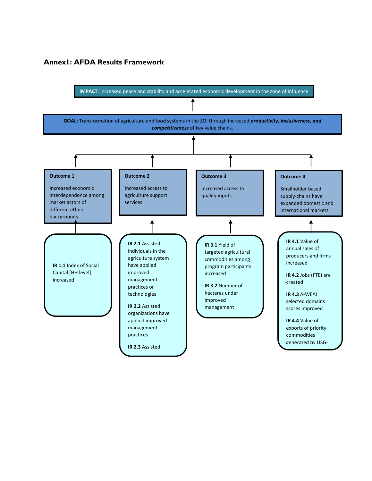#### **Annex1: AFDA Results Framework**

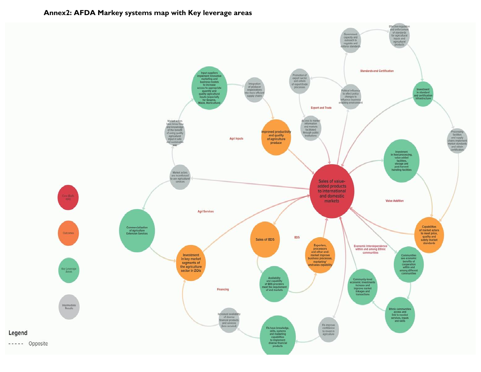

#### **Annex2: AFDA Markey systems map with Key leverage areas**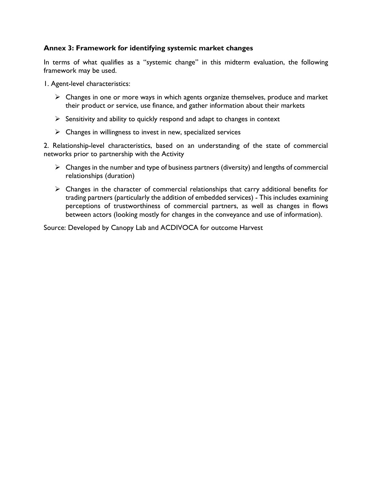#### **Annex 3: Framework for identifying systemic market changes**

In terms of what qualifies as a "systemic change" in this midterm evaluation, the following framework may be used.

1. Agent-level characteristics:

- $\triangleright$  Changes in one or more ways in which agents organize themselves, produce and market their product or service, use finance, and gather information about their markets
- $\triangleright$  Sensitivity and ability to quickly respond and adapt to changes in context
- $\triangleright$  Changes in willingness to invest in new, specialized services

2. Relationship-level characteristics, based on an understanding of the state of commercial networks prior to partnership with the Activity

- $\triangleright$  Changes in the number and type of business partners (diversity) and lengths of commercial relationships (duration)
- ➢ Changes in the character of commercial relationships that carry additional benefits for trading partners (particularly the addition of embedded services) - This includes examining perceptions of trustworthiness of commercial partners, as well as changes in flows between actors (looking mostly for changes in the conveyance and use of information).

Source: Developed by Canopy Lab and ACDIVOCA for outcome Harvest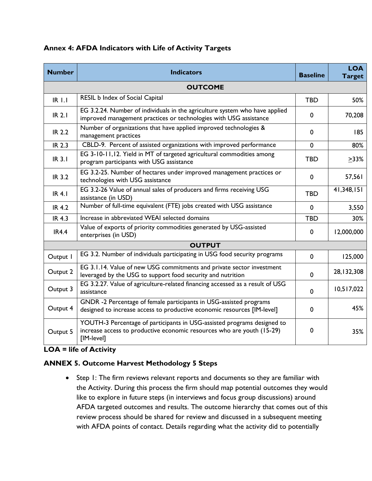| <b>Number</b> | <b>Indicators</b>                                                                                                                                               | <b>Baseline</b> | <b>LOA</b><br><b>Target</b> |
|---------------|-----------------------------------------------------------------------------------------------------------------------------------------------------------------|-----------------|-----------------------------|
|               | <b>OUTCOME</b>                                                                                                                                                  |                 |                             |
| $IR$ $I.I$    | RESIL b Index of Social Capital                                                                                                                                 | <b>TBD</b>      | 50%                         |
| <b>IR 2.1</b> | EG 3.2.24. Number of individuals in the agriculture system who have applied<br>improved management practices or technologies with USG assistance                | 0               | 70,208                      |
| <b>IR 2.2</b> | Number of organizations that have applied improved technologies &<br>management practices                                                                       | 0               | 185                         |
| <b>IR 2.3</b> | CBLD-9. Percent of assisted organizations with improved performance                                                                                             | $\mathbf 0$     | 80%                         |
| <b>IR 3.1</b> | EG 3-10-11,12. Yield in MT of targeted agricultural commodities among<br>program participants with USG assistance                                               | <b>TBD</b>      | >33%                        |
| <b>IR 3.2</b> | EG 3.2-25. Number of hectares under improved management practices or<br>technologies with USG assistance                                                        | $\mathbf 0$     | 57,561                      |
| <b>IR 4.1</b> | EG 3.2-26 Value of annual sales of producers and firms receiving USG<br>assistance (in USD)                                                                     | <b>TBD</b>      | 41,348,151                  |
| <b>IR 4.2</b> | Number of full-time equivalent (FTE) jobs created with USG assistance                                                                                           | $\mathbf 0$     | 3,550                       |
| <b>IR 4.3</b> | Increase in abbreviated WEAI selected domains                                                                                                                   | <b>TBD</b>      | 30%                         |
| <b>IR4.4</b>  | Value of exports of priority commodities generated by USG-assisted<br>enterprises (in USD)                                                                      | 0               | 12,000,000                  |
|               | <b>OUTPUT</b>                                                                                                                                                   |                 |                             |
| Output I      | EG 3.2. Number of individuals participating in USG food security programs                                                                                       | $\mathbf 0$     | 125,000                     |
| Output 2      | EG 3.1.14. Value of new USG commitments and private sector investment<br>leveraged by the USG to support food security and nutrition                            | 0               | 28, 132, 308                |
| Output 3      | EG 3.2.27. Value of agriculture-related financing accessed as a result of USG<br>assistance                                                                     | $\mathbf 0$     | 10,517,022                  |
| Output 4      | GNDR -2 Percentage of female participants in USG-assisted programs<br>designed to increase access to productive economic resources [IM-level]                   | 0               | 45%                         |
| Output 5      | YOUTH-3 Percentage of participants in USG-assisted programs designed to<br>increase access to productive economic resources who are youth (15-29)<br>[IM-level] | 0               | 35%                         |

## **Annex 4: AFDA Indicators with Life of Activity Targets**

## **LOA = life of Activity**

## **ANNEX 5. Outcome Harvest Methodology 5 Steps**

• Step 1: The firm reviews relevant reports and documents so they are familiar with the Activity. During this process the firm should map potential outcomes they would like to explore in future steps (in interviews and focus group discussions) around AFDA targeted outcomes and results. The outcome hierarchy that comes out of this review process should be shared for review and discussed in a subsequent meeting with AFDA points of contact. Details regarding what the activity did to potentially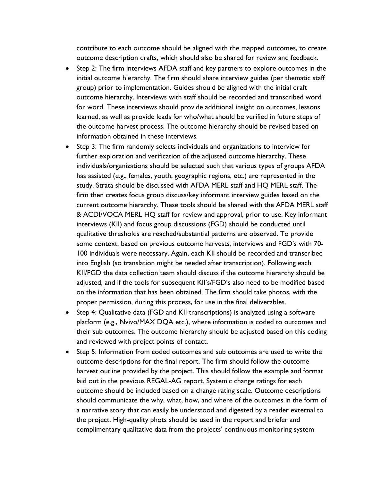contribute to each outcome should be aligned with the mapped outcomes, to create outcome description drafts, which should also be shared for review and feedback.

- Step 2: The firm interviews AFDA staff and key partners to explore outcomes in the initial outcome hierarchy. The firm should share interview guides (per thematic staff group) prior to implementation. Guides should be aligned with the initial draft outcome hierarchy. Interviews with staff should be recorded and transcribed word for word. These interviews should provide additional insight on outcomes, lessons learned, as well as provide leads for who/what should be verified in future steps of the outcome harvest process. The outcome hierarchy should be revised based on information obtained in these interviews.
- Step 3: The firm randomly selects individuals and organizations to interview for further exploration and verification of the adjusted outcome hierarchy. These individuals/organizations should be selected such that various types of groups AFDA has assisted (e.g., females, youth, geographic regions, etc.) are represented in the study. Strata should be discussed with AFDA MERL staff and HQ MERL staff. The firm then creates focus group discuss/key informant interview guides based on the current outcome hierarchy. These tools should be shared with the AFDA MERL staff & ACDI/VOCA MERL HQ staff for review and approval, prior to use. Key informant interviews (KII) and focus group discussions (FGD) should be conducted until qualitative thresholds are reached/substantial patterns are observed. To provide some context, based on previous outcome harvests, interviews and FGD's with 70- 100 individuals were necessary. Again, each KII should be recorded and transcribed into English (so translation might be needed after transcription). Following each KII/FGD the data collection team should discuss if the outcome hierarchy should be adjusted, and if the tools for subsequent KII's/FGD's also need to be modified based on the information that has been obtained. The firm should take photos, with the proper permission, during this process, for use in the final deliverables.
- Step 4: Qualitative data (FGD and KII transcriptions) is analyzed using a software platform (e.g., Nvivo/MAX DQA etc.), where information is coded to outcomes and their sub outcomes. The outcome hierarchy should be adjusted based on this coding and reviewed with project points of contact.
- Step 5: Information from coded outcomes and sub outcomes are used to write the outcome descriptions for the final report. The firm should follow the outcome harvest outline provided by the project. This should follow the example and format laid out in the previous REGAL-AG report. Systemic change ratings for each outcome should be included based on a change rating scale. Outcome descriptions should communicate the why, what, how, and where of the outcomes in the form of a narrative story that can easily be understood and digested by a reader external to the project. High-quality phots should be used in the report and briefer and complimentary qualitative data from the projects' continuous monitoring system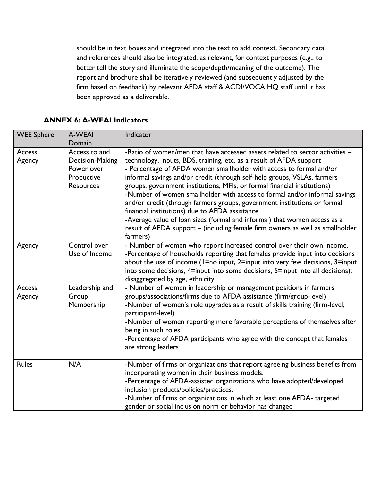should be in text boxes and integrated into the text to add context. Secondary data and references should also be integrated, as relevant, for context purposes (e.g., to better tell the story and illuminate the scope/depth/meaning of the outcome). The report and brochure shall be iteratively reviewed (and subsequently adjusted by the firm based on feedback) by relevant AFDA staff & ACDI/VOCA HQ staff until it has been approved as a deliverable.

| <b>WEE Sphere</b> | A-WEAI<br>Domain                                                                 | Indicator                                                                                                                                                                                                                                                                                                                                                                                                                                                                                                                                                                                                                                                                                                                                                                |
|-------------------|----------------------------------------------------------------------------------|--------------------------------------------------------------------------------------------------------------------------------------------------------------------------------------------------------------------------------------------------------------------------------------------------------------------------------------------------------------------------------------------------------------------------------------------------------------------------------------------------------------------------------------------------------------------------------------------------------------------------------------------------------------------------------------------------------------------------------------------------------------------------|
| Access,<br>Agency | Access to and<br>Decision-Making<br>Power over<br>Productive<br><b>Resources</b> | -Ratio of women/men that have accessed assets related to sector activities -<br>technology, inputs, BDS, training, etc. as a result of AFDA support<br>- Percentage of AFDA women smallholder with access to formal and/or<br>informal savings and/or credit (through self-help groups, VSLAs, farmers<br>groups, government institutions, MFIs, or formal financial institutions)<br>-Number of women smallholder with access to formal and/or informal savings<br>and/or credit (through farmers groups, government institutions or formal<br>financial institutions) due to AFDA assistance<br>-Average value of loan sizes (formal and informal) that women access as a<br>result of AFDA support - (including female firm owners as well as smallholder<br>farmers) |
| Agency            | Control over<br>Use of Income                                                    | - Number of women who report increased control over their own income.<br>-Percentage of households reporting that females provide input into decisions<br>about the use of income (I=no input, 2=input into very few decisions, 3=input<br>into some decisions, 4=input into some decisions, 5=input into all decisions);<br>disaggregated by age, ethnicity                                                                                                                                                                                                                                                                                                                                                                                                             |
| Access,<br>Agency | Leadership and<br>Group<br>Membership                                            | - Number of women in leadership or management positions in farmers<br>groups/associations/firms due to AFDA assistance (firm/group-level)<br>-Number of women's role upgrades as a result of skills training (firm-level,<br>participant-level)<br>-Number of women reporting more favorable perceptions of themselves after<br>being in such roles<br>-Percentage of AFDA participants who agree with the concept that females<br>are strong leaders                                                                                                                                                                                                                                                                                                                    |
| <b>Rules</b>      | N/A                                                                              | -Number of firms or organizations that report agreeing business benefits from<br>incorporating women in their business models.<br>-Percentage of AFDA-assisted organizations who have adopted/developed<br>inclusion products/policies/practices.<br>-Number of firms or organizations in which at least one AFDA- targeted<br>gender or social inclusion norm or behavior has changed                                                                                                                                                                                                                                                                                                                                                                                   |

## **ANNEX 6: A-WEAI Indicators**